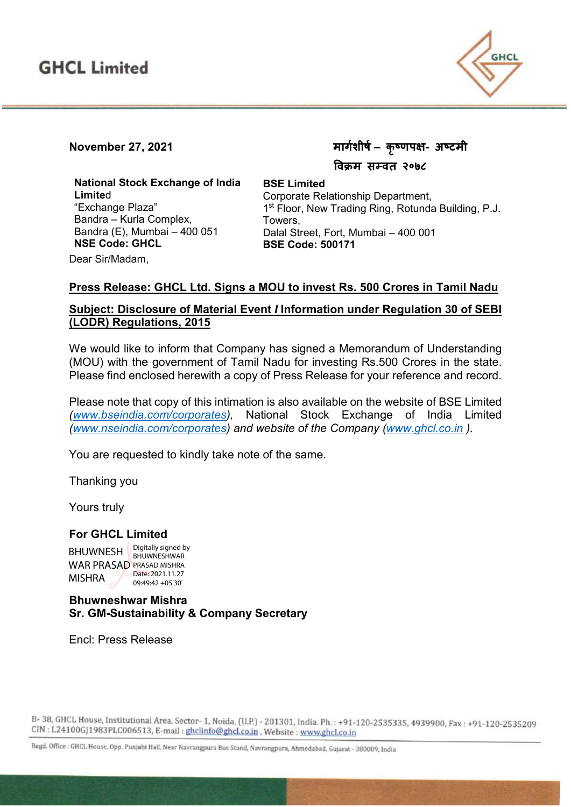

# **November 27, 2021 मागर्शीषर्– कृष्णप�- अष्टमी**

 **�वक्रम सम्वत २०७८**

**National Stock Exchange of India Limite**d "Exchange Plaza" Bandra – Kurla Complex, Bandra (E), Mumbai – 400 051 **NSE Code: GHCL**

Corporate Relationship Department, 1<sup>st</sup> Floor, New Trading Ring, Rotunda Building, P.J. Towers, Dalal Street, Fort, Mumbai – 400 001 **BSE Code: 500171**

Dear Sir/Madam,

#### **Press Release: GHCL Ltd. Signs a MOU to invest Rs. 500 Crores in Tamil Nadu**

**BSE Limited**

### **Subject: Disclosure of Material Event** *I* **Information under Regulation 30 of SEBI (LODR) Regulations, 2015**

We would like to inform that Company has signed a Memorandum of Understanding (MOU) with the government of Tamil Nadu for investing Rs.500 Crores in the state. Please find enclosed herewith a copy of Press Release for your reference and record.

Please note that copy of this intimation is also available on the website of BSE Limited *[\(www.bseindia.com/corporates\)](http://www.bseindia.com/corporates),* National Stock Exchange of India Limited *[\(www.nseindia.com/corporates\)](http://www.nseindia.com/corporates) and website of the Company [\(www.ghcl.co.in](http://www.ghcl.co.in/) ).*

You are requested to kindly take note of the same.

Thanking you

Yours truly

#### **For GHCL Limited**

**BHUWNESH**  $\bigcup_{RH1}$  I putting  $\bigcup_{RH1}$  Supposed by WAR PRASAD PRASAD MISHRA MISHRA BHUWNESHWAR Date: 2021.11.27 09:49:42 +05'30'

#### **Bhuwneshwar Mishra Sr. GM-Sustainability & Company Secretary**

Encl: Press Release

B-38, GHCL House, Institutional Area, Sector-1, Noida, (U.P.) - 201301, India. Ph.: +91-120-2535335, 4939900, Fax: +91-120-2535209 CIN : L24100GJ1983PLC006513, E-mail : ghclinfo@ghcl.co.in, Website : www.ghcl.co.in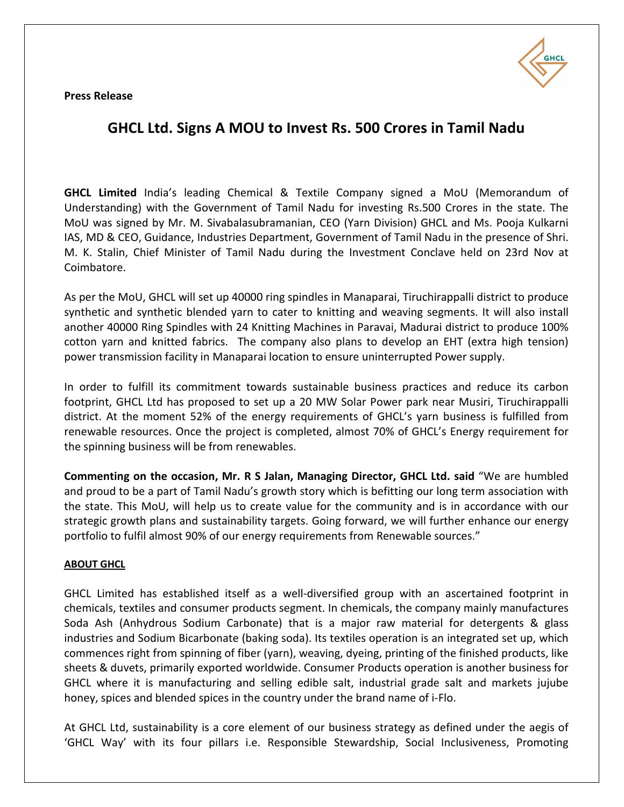**Press Release**



## **GHCL Ltd. Signs A MOU to Invest Rs. 500 Crores in Tamil Nadu**

**GHCL Limited** India's leading Chemical & Textile Company signed a MoU (Memorandum of Understanding) with the Government of Tamil Nadu for investing Rs.500 Crores in the state. The MoU was signed by Mr. M. Sivabalasubramanian, CEO (Yarn Division) GHCL and Ms. Pooja Kulkarni IAS, MD & CEO, Guidance, Industries Department, Government of Tamil Nadu in the presence of Shri. M. K. Stalin, Chief Minister of Tamil Nadu during the Investment Conclave held on 23rd Nov at Coimbatore.

As per the MoU, GHCL will set up 40000 ring spindles in Manaparai, Tiruchirappalli district to produce synthetic and synthetic blended yarn to cater to knitting and weaving segments. It will also install another 40000 Ring Spindles with 24 Knitting Machines in Paravai, Madurai district to produce 100% cotton yarn and knitted fabrics. The company also plans to develop an EHT (extra high tension) power transmission facility in Manaparai location to ensure uninterrupted Power supply.

In order to fulfill its commitment towards sustainable business practices and reduce its carbon footprint, GHCL Ltd has proposed to set up a 20 MW Solar Power park near Musiri, Tiruchirappalli district. At the moment 52% of the energy requirements of GHCL's yarn business is fulfilled from renewable resources. Once the project is completed, almost 70% of GHCL's Energy requirement for the spinning business will be from renewables.

**Commenting on the occasion, Mr. R S Jalan, Managing Director, GHCL Ltd. said** "We are humbled and proud to be a part of Tamil Nadu's growth story which is befitting our long term association with the state. This MoU, will help us to create value for the community and is in accordance with our strategic growth plans and sustainability targets. Going forward, we will further enhance our energy portfolio to fulfil almost 90% of our energy requirements from Renewable sources."

#### **ABOUT GHCL**

GHCL Limited has established itself as a well-diversified group with an ascertained footprint in chemicals, textiles and consumer products segment. In chemicals, the company mainly manufactures Soda Ash (Anhydrous Sodium Carbonate) that is a major raw material for detergents & glass industries and Sodium Bicarbonate (baking soda). Its textiles operation is an integrated set up, which commences right from spinning of fiber (yarn), weaving, dyeing, printing of the finished products, like sheets & duvets, primarily exported worldwide. Consumer Products operation is another business for GHCL where it is manufacturing and selling edible salt, industrial grade salt and markets jujube honey, spices and blended spices in the country under the brand name of i-Flo.

At GHCL Ltd, sustainability is a core element of our business strategy as defined under the aegis of 'GHCL Way' with its four pillars i.e. Responsible Stewardship, Social Inclusiveness, Promoting